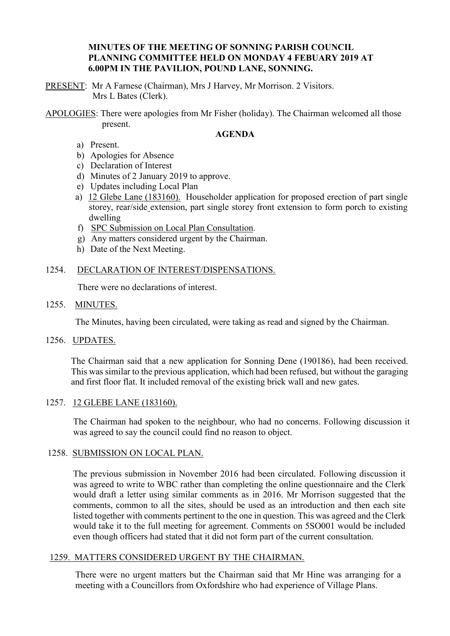# **MINUTES OF THE MEETING OF SONNING PARISH COUNCIL PLANNING COMMITTEE HELD ON MONDAY 4 FEBUARY 2019 AT 6.00PM IN THE PAVILION, POUND LANE, SONNING.**

PRESENT: Mr A Farnese (Chairman), Mrs J Harvey, Mr Morrison. 2 Visitors. Mrs L Bates (Clerk).

APOLOGIES: There were apologies from Mr Fisher (holiday). The Chairman welcomed all those present.

### **AGENDA**

- a) Present.
- b) Apologies for Absence
- c) Declaration of Interest
- d) Minutes of 2 January 2019 to approve.
- e) Updates including Local Plan
- a) 12 Glebe Lane (183160). Householder application for proposed erection of part single storey, rear/side extension, part single storey front extension to form porch to existing dwelling
- f) SPC Submission on Local Plan Consultation.
- g) Any matters considered urgent by the Chairman.
- h) Date of the Next Meeting.

# 1254. DECLARATION OF INTEREST/DISPENSATIONS.

There were no declarations of interest.

### 1255. MINUTES.

The Minutes, having been circulated, were taking as read and signed by the Chairman.

1256. UPDATES.

The Chairman said that a new application for Sonning Dene (190186), had been received. This was similar to the previous application, which had been refused, but without the garaging and first floor flat. It included removal of the existing brick wall and new gates.

# 1257. 12 GLEBE LANE (183160).

The Chairman had spoken to the neighbour, who had no concerns. Following discussion it was agreed to say the council could find no reason to object.

#### 1258. SUBMISSION ON LOCAL PLAN.

The previous submission in November 2016 had been circulated. Following discussion it was agreed to write to WBC rather than completing the online questionnaire and the Clerk would draft a letter using similar comments as in 2016. Mr Morrison suggested that the comments, common to all the sites, should be used as an introduction and then each site listed together with comments pertinent to the one in question. This was agreed and the Clerk would take it to the full meeting for agreement. Comments on 5SO001 would be included even though officers had stated that it did not form part of the current consultation.

#### 1259. MATTERS CONSIDERED URGENT BY THE CHAIRMAN.

There were no urgent matters but the Chairman said that Mr Hine was arranging for a meeting with a Councillors from Oxfordshire who had experience of Village Plans.